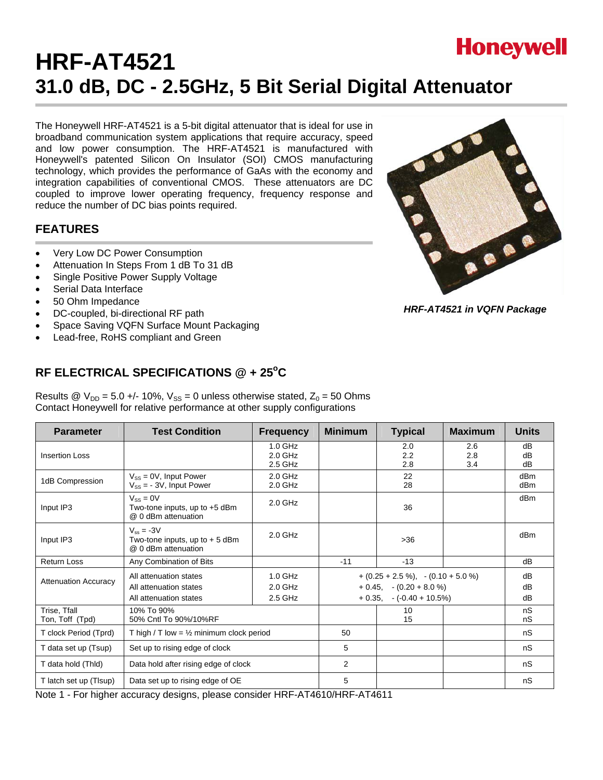# **HRF-AT4521 31.0 dB, DC - 2.5GHz, 5 Bit Serial Digital Attenuator**

The Honeywell HRF-AT4521 is a 5-bit digital attenuator that is ideal for use in broadband communication system applications that require accuracy, speed and low power consumption. The HRF-AT4521 is manufactured with Honeywell's patented Silicon On Insulator (SOI) CMOS manufacturing technology, which provides the performance of GaAs with the economy and integration capabilities of conventional CMOS. These attenuators are DC coupled to improve lower operating frequency, frequency response and reduce the number of DC bias points required.

## **FEATURES**

- Very Low DC Power Consumption
- Attenuation In Steps From 1 dB To 31 dB
- Single Positive Power Supply Voltage
- Serial Data Interface
- 50 Ohm Impedance
- DC-coupled, bi-directional RF path
- Space Saving VQFN Surface Mount Packaging
- Lead-free, RoHS compliant and Green

# RF ELECTRICAL SPECIFICATIONS @ + 25°C

Results @  $V_{DD}$  = 5.0 +/- 10%,  $V_{SS}$  = 0 unless otherwise stated,  $Z_0$  = 50 Ohms Contact Honeywell for relative performance at other supply configurations

| <b>Parameter</b>                | <b>Test Condition</b>                                                                                                                                                                                                 | <b>Frequency</b>                  | <b>Minimum</b> | <b>Typical</b>    | <b>Maximum</b>    | <b>Units</b>   |
|---------------------------------|-----------------------------------------------------------------------------------------------------------------------------------------------------------------------------------------------------------------------|-----------------------------------|----------------|-------------------|-------------------|----------------|
| <b>Insertion Loss</b>           |                                                                                                                                                                                                                       | $1.0$ GHz<br>$2.0$ GHz<br>2.5 GHz |                | 2.0<br>2.2<br>2.8 | 2.6<br>2.8<br>3.4 | dB<br>dB<br>dB |
| 1dB Compression                 | $V_{SS} = 0V$ , Input Power<br>$V_{SS}$ = - 3V, Input Power                                                                                                                                                           | $2.0$ GHz<br>$2.0$ GHz            |                | 22<br>28          |                   | dBm<br>dBm     |
| Input IP3                       | $V_{SS} = 0V$<br>Two-tone inputs, up to $+5$ dBm<br>@ 0 dBm attenuation                                                                                                                                               | $2.0$ GHz                         |                | 36                |                   | dBm            |
| Input IP3                       | $V_{ss} = -3V$<br>Two-tone inputs, up to $+5$ dBm<br>@ 0 dBm attenuation                                                                                                                                              | $2.0$ GHz                         |                | $>36$             |                   | dBm            |
| <b>Return Loss</b>              | Any Combination of Bits                                                                                                                                                                                               |                                   | $-11$          | $-13$             |                   | dB             |
| <b>Attenuation Accuracy</b>     | $1.0$ GHz<br>$+(0.25 + 2.5\%)$ , $-(0.10 + 5.0\%)$<br>All attenuation states<br>$2.0$ GHz<br>$+ 0.45, - (0.20 + 8.0 %)$<br>All attenuation states<br>2.5 GHz<br>$+ 0.35, -(-0.40 + 10.5\%)$<br>All attenuation states |                                   |                | dB<br>dB<br>dB    |                   |                |
| Trise, Tfall<br>Ton, Toff (Tpd) | 10% To 90%<br>50% Cntl To 90%/10%RF                                                                                                                                                                                   |                                   |                | 10<br>15          |                   | nS<br>nS       |
| T clock Period (Tprd)           | T high / T low = $\frac{1}{2}$ minimum clock period                                                                                                                                                                   |                                   | 50             |                   |                   | nS             |
| T data set up (Tsup)            | Set up to rising edge of clock                                                                                                                                                                                        |                                   | 5              |                   |                   | nS             |
| T data hold (Thid)              | Data hold after rising edge of clock                                                                                                                                                                                  |                                   | $\overline{2}$ |                   |                   | nS             |
| T latch set up (TIsup)          | Data set up to rising edge of OE                                                                                                                                                                                      |                                   | 5              |                   |                   | nS             |

Note 1 - For higher accuracy designs, please consider HRF-AT4610/HRF-AT4611



*HRF-AT4521 in VQFN Package*

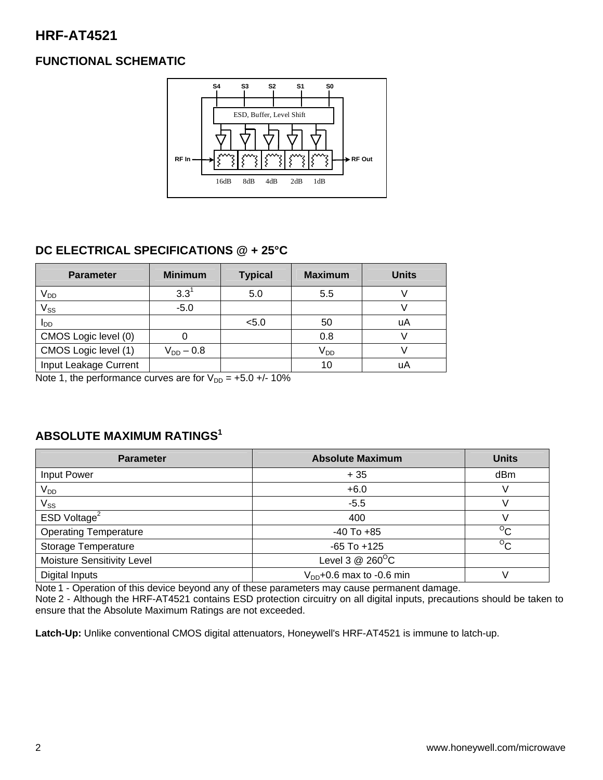# **HRF-AT4521**

# **FUNCTIONAL SCHEMATIC**



# **DC ELECTRICAL SPECIFICATIONS @ + 25°C**

| <b>Parameter</b>      | <b>Minimum</b> | <b>Typical</b> | <b>Maximum</b>  | <b>Units</b> |
|-----------------------|----------------|----------------|-----------------|--------------|
| V <sub>DD</sub>       | $3.3^{1}$      | 5.0            | 5.5             |              |
| $V_{SS}$              | $-5.0$         |                |                 |              |
| l <sub>DD</sub>       |                | < 5.0          | 50              | uA           |
| CMOS Logic level (0)  |                |                | 0.8             |              |
| CMOS Logic level (1)  | $V_{DD} - 0.8$ |                | V <sub>DD</sub> |              |
| Input Leakage Current |                |                | 10              | uA           |

Note 1, the performance curves are for  $V_{DD} = +5.0 +/- 10\%$ 

## **ABSOLUTE MAXIMUM RATINGS1**

| <b>Parameter</b>             | <b>Absolute Maximum</b>       | <b>Units</b>   |
|------------------------------|-------------------------------|----------------|
| Input Power                  | $+35$                         | dBm            |
| $V_{DD}$                     | $+6.0$                        | V              |
| $\mathsf{V}_{\mathsf{SS}}$   | $-5.5$                        |                |
| ESD Voltage <sup>2</sup>     | 400                           |                |
| <b>Operating Temperature</b> | $-40$ To $+85$                | $\rm ^{o}C$    |
| Storage Temperature          | $-65$ To $+125$               | $\overline{C}$ |
| Moisture Sensitivity Level   | Level 3 $@$ 260 $^{\circ}$ C  |                |
| Digital Inputs               | $V_{DD}$ +0.6 max to -0.6 min |                |

Note 1 - Operation of this device beyond any of these parameters may cause permanent damage.

Note 2 - Although the HRF-AT4521 contains ESD protection circuitry on all digital inputs, precautions should be taken to ensure that the Absolute Maximum Ratings are not exceeded.

**Latch-Up:** Unlike conventional CMOS digital attenuators, Honeywell's HRF-AT4521 is immune to latch-up.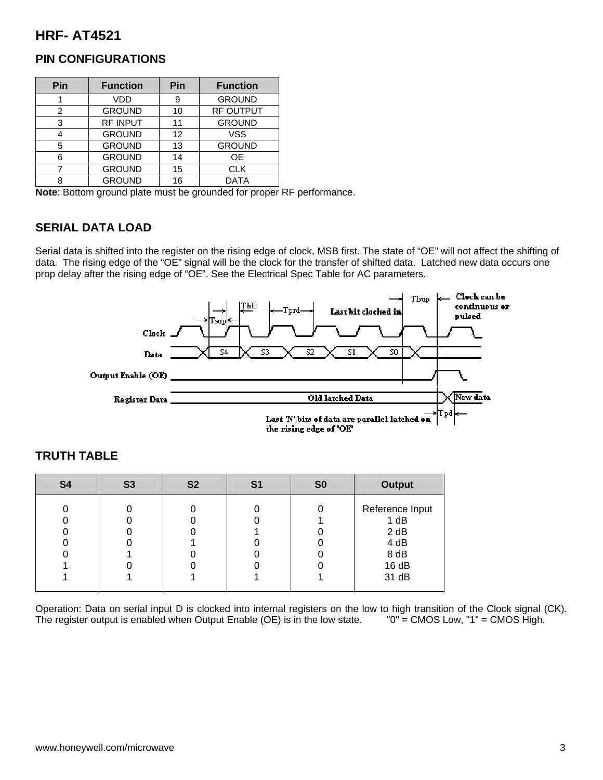# **HRF- AT4521**

| Pin | <b>Function</b> | Pin | <b>Function</b>  |
|-----|-----------------|-----|------------------|
|     | VDD             | 9   | <b>GROUND</b>    |
| 2   | <b>GROUND</b>   | 10  | <b>RF OUTPUT</b> |
| 3   | RF INPUT        | 11  | <b>GROUND</b>    |
|     | <b>GROUND</b>   | 12  | <b>VSS</b>       |
| 5   | <b>GROUND</b>   | 13  | <b>GROUND</b>    |
| հ   | <b>GROUND</b>   | 14  | OE.              |
|     | <b>GROUND</b>   | 15  | <b>CLK</b>       |
|     | <b>GROUND</b>   | 16  | <b>DATA</b>      |

## **PIN CONFIGURATIONS**

**Note**: Bottom ground plate must be grounded for proper RF performance.

### **SERIAL DATA LOAD**

Serial data is shifted into the register on the rising edge of clock, MSB first. The state of "OE" will not affect the shifting of data. The rising edge of the "OE" signal will be the clock for the transfer of shifted data. Latched new data occurs one prop delay after the rising edge of "OE". See the Electrical Spec Table for AC parameters.



| <b>S4</b> | <b>S3</b> | S <sub>2</sub> | S <sub>1</sub> | S <sub>0</sub> | <b>Output</b>                                                    |
|-----------|-----------|----------------|----------------|----------------|------------------------------------------------------------------|
|           |           |                |                |                | Reference Input<br>1 dB<br>2 dB<br>4 dB<br>8 dB<br>16dB<br>31 dB |
|           |           |                |                |                |                                                                  |

## **TRUTH TABLE**

Operation: Data on serial input D is clocked into internal registers on the low to high transition of the Clock signal (CK).<br>The register output is enabled when Output Enable (OE) is in the low state. "0" = CMOS Low, "1" = The register output is enabled when Output Enable (OE) is in the low state.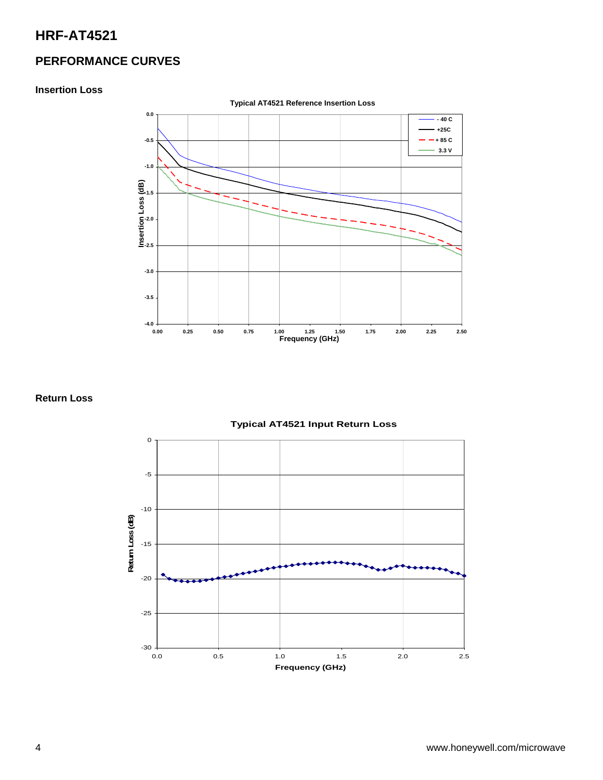# **HRF-AT4521**

# **PERFORMANCE CURVES**

#### **Insertion Loss**



**Return Loss** 

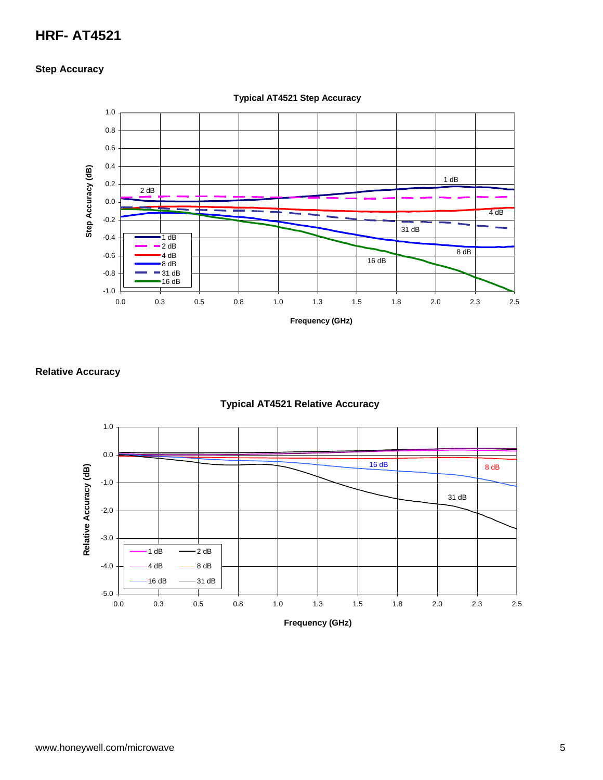# **HRF- AT4521**

#### **Step Accuracy**



**Typical AT4521 Step Accuracy**

#### **Relative Accuracy**



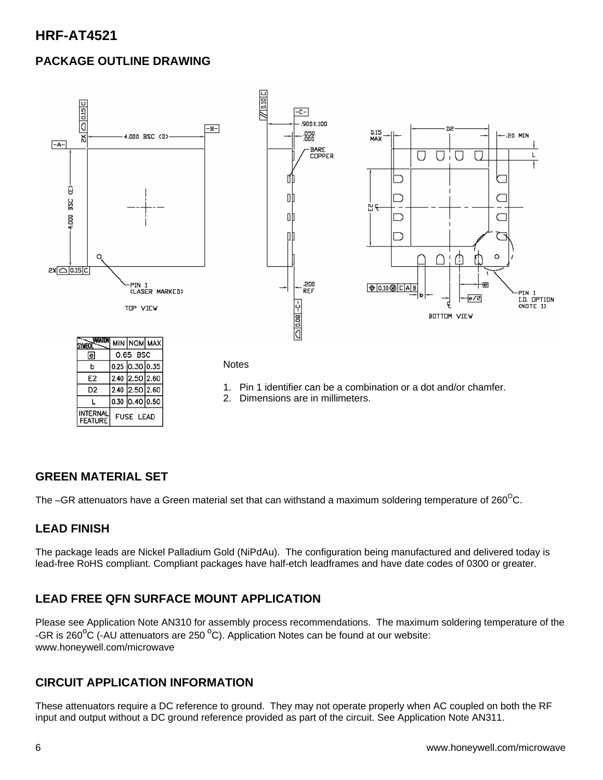# **HRF-AT4521**

# **PACKAGE OUTLINE DRAWING**



#### **Notes**

- 1. Pin 1 identifier can be a combination or a dot and/or chamfer.
- 2. Dimensions are in millimeters.

## **GREEN MATERIAL SET**

 $\mathbf b$ E<sub>2</sub>

D<sub>2</sub>

L **INTERNAI** 

**FEATURE** 

 $0.25$  0.30 0.35

2.40 2.50 2.60 2.40 2.50 2.60

 $0.30$  0.40 0.50

**FUSE LEAD** 

The –GR attenuators have a Green material set that can withstand a maximum soldering temperature of  $260^{\circ}$ C.

#### **LEAD FINISH**

The package leads are Nickel Palladium Gold (NiPdAu). The configuration being manufactured and delivered today is lead-free RoHS compliant. Compliant packages have half-etch leadframes and have date codes of 0300 or greater.

## **LEAD FREE QFN SURFACE MOUNT APPLICATION**

Please see Application Note AN310 for assembly process recommendations. The maximum soldering temperature of the -GR is 260 $\mathrm{^oC}$  (-AU attenuators are 250  $\mathrm{^oC}$ ). Application Notes can be found at our website: www.honeywell.com/microwave

## **CIRCUIT APPLICATION INFORMATION**

These attenuators require a DC reference to ground. They may not operate properly when AC coupled on both the RF input and output without a DC ground reference provided as part of the circuit. See Application Note AN311.